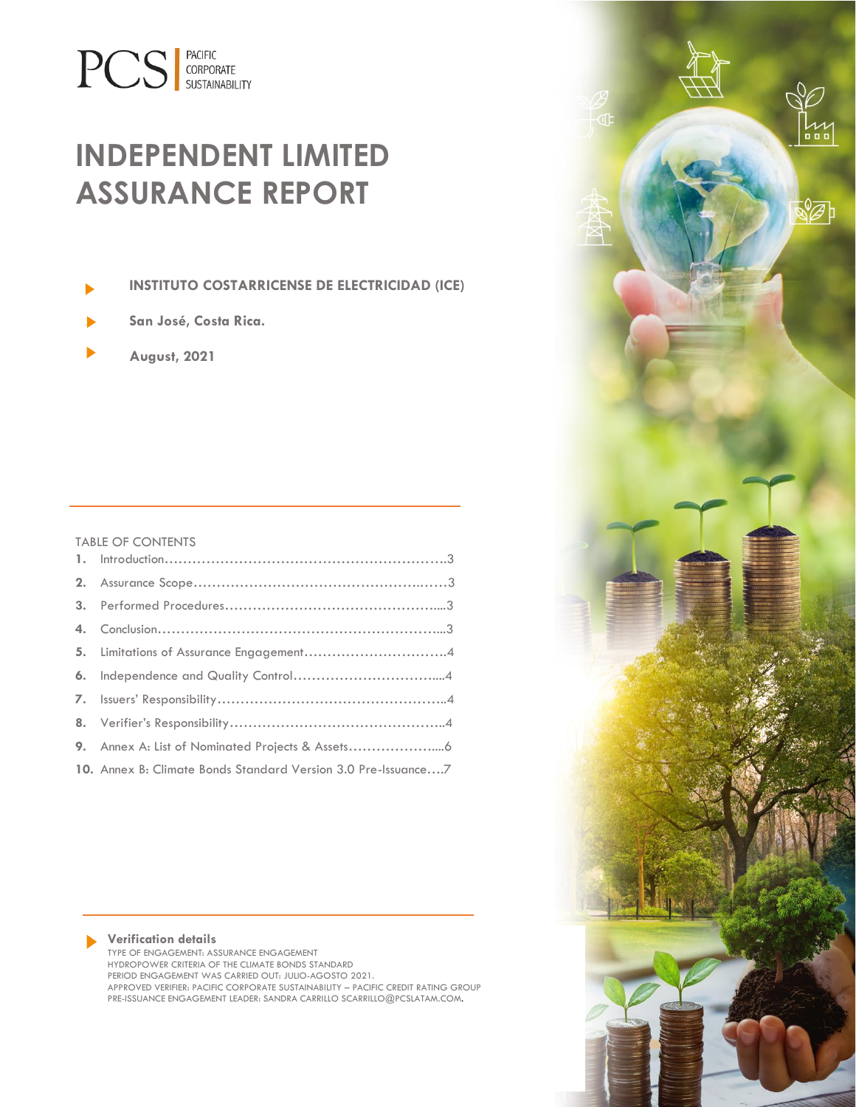# **PCS** CORPORATE

# **INDEPENDENT LIMITED ASSURANCE REPORT**

**INSTITUTO COSTARRICENSE DE ELECTRICIDAD (ICE)**

- **San José, Costa Rica.**
- **August, 2021**

#### TABLE OF CONTENTS

| 10. Annex B: Climate Bonds Standard Version 3.0 Pre-Issuance7 |  |
|---------------------------------------------------------------|--|

#### **Verification details** TYPE OF ENGAGEMENT: ASSURANCE ENGAGEMENT

HYDROPOWER CRITERIA OF THE CLIMATE BONDS STANDARD PERIOD ENGAGEMENT WAS CARRIED OUT: JULIO-AGOSTO 2021. APPROVED VERIFIER: PACIFIC CORPORATE SUSTAINABILITY – PACIFIC CREDIT RATING GROUP PRE-ISSUANCE ENGAGEMENT LEADER: SANDRA CARRILLO SCARRILLO@PCSLATAM.COM.

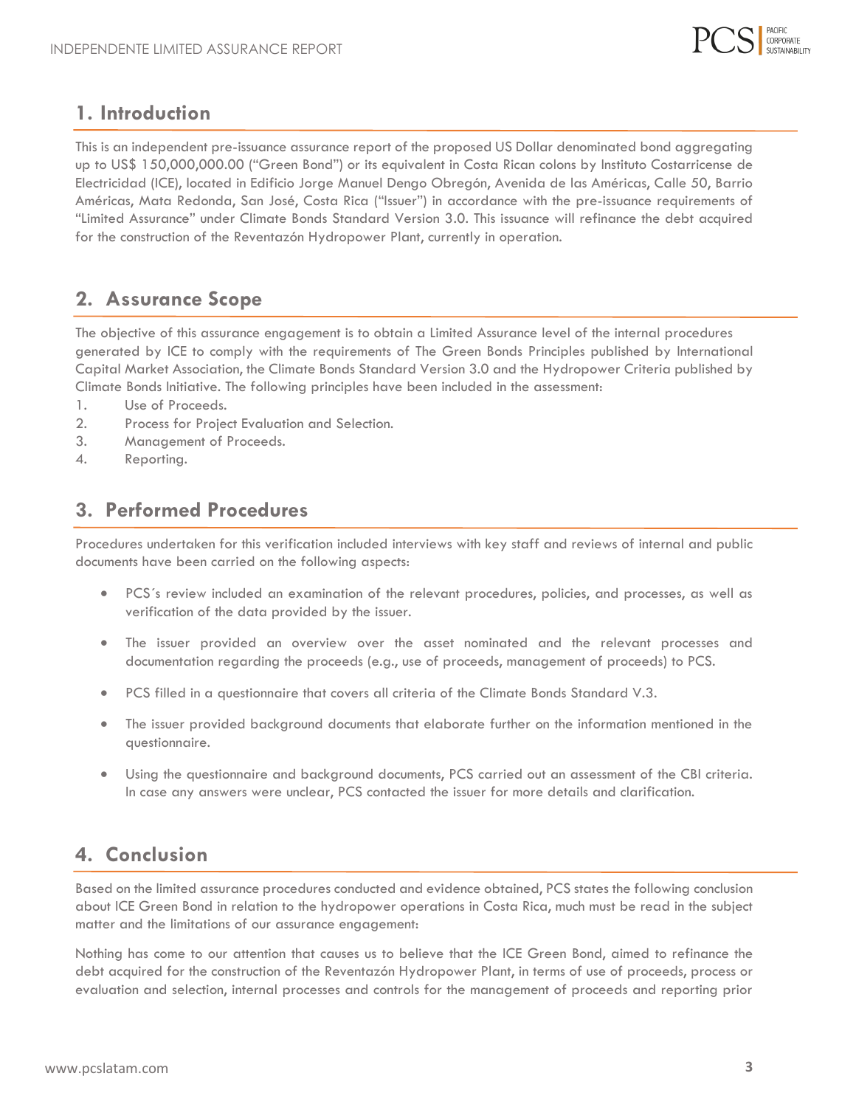

#### **1. Introduction**

<span id="page-1-0"></span>This is an independent pre-issuance assurance report of the proposed US Dollar denominated bond aggregating up to US\$ 150,000,000.00 ("Green Bond") or its equivalent in Costa Rican colons by Instituto Costarricense de Electricidad (ICE), located in Edificio Jorge Manuel Dengo Obregón, Avenida de las Américas, Calle 50, Barrio Américas, Mata Redonda, San José, Costa Rica ("Issuer") in accordance with the pre-issuance requirements of "Limited Assurance" under Climate Bonds Standard Version 3.0. This issuance will refinance the debt acquired for the construction of the Reventazón Hydropower Plant, currently in operation.

### **2. Assurance Scope**

<span id="page-1-1"></span>The objective of this assurance engagement is to obtain a Limited Assurance level of the internal procedures generated by ICE to comply with the requirements of The Green Bonds Principles published by International Capital Market Association, the Climate Bonds Standard Version 3.0 and the Hydropower Criteria published by Climate Bonds Initiative. The following principles have been included in the assessment:

- 1. Use of Proceeds.
- 2. Process for Project Evaluation and Selection.
- 3. Management of Proceeds.
- 4. Reporting.

#### **3. Performed Procedures**

<span id="page-1-2"></span>Procedures undertaken for this verification included interviews with key staff and reviews of internal and public documents have been carried on the following aspects:

- PCS´s review included an examination of the relevant procedures, policies, and processes, as well as verification of the data provided by the issuer.
- The issuer provided an overview over the asset nominated and the relevant processes and documentation regarding the proceeds (e.g., use of proceeds, management of proceeds) to PCS.
- PCS filled in a questionnaire that covers all criteria of the Climate Bonds Standard V.3.
- The issuer provided background documents that elaborate further on the information mentioned in the questionnaire.
- Using the questionnaire and background documents, PCS carried out an assessment of the CBI criteria. In case any answers were unclear, PCS contacted the issuer for more details and clarification.

### <span id="page-1-3"></span>**4. Conclusion**

Based on the limited assurance procedures conducted and evidence obtained, PCS states the following conclusion about ICE Green Bond in relation to the hydropower operations in Costa Rica, much must be read in the subject matter and the limitations of our assurance engagement:

Nothing has come to our attention that causes us to believe that the ICE Green Bond, aimed to refinance the debt acquired for the construction of the Reventazón Hydropower Plant, in terms of use of proceeds, process or evaluation and selection, internal processes and controls for the management of proceeds and reporting prior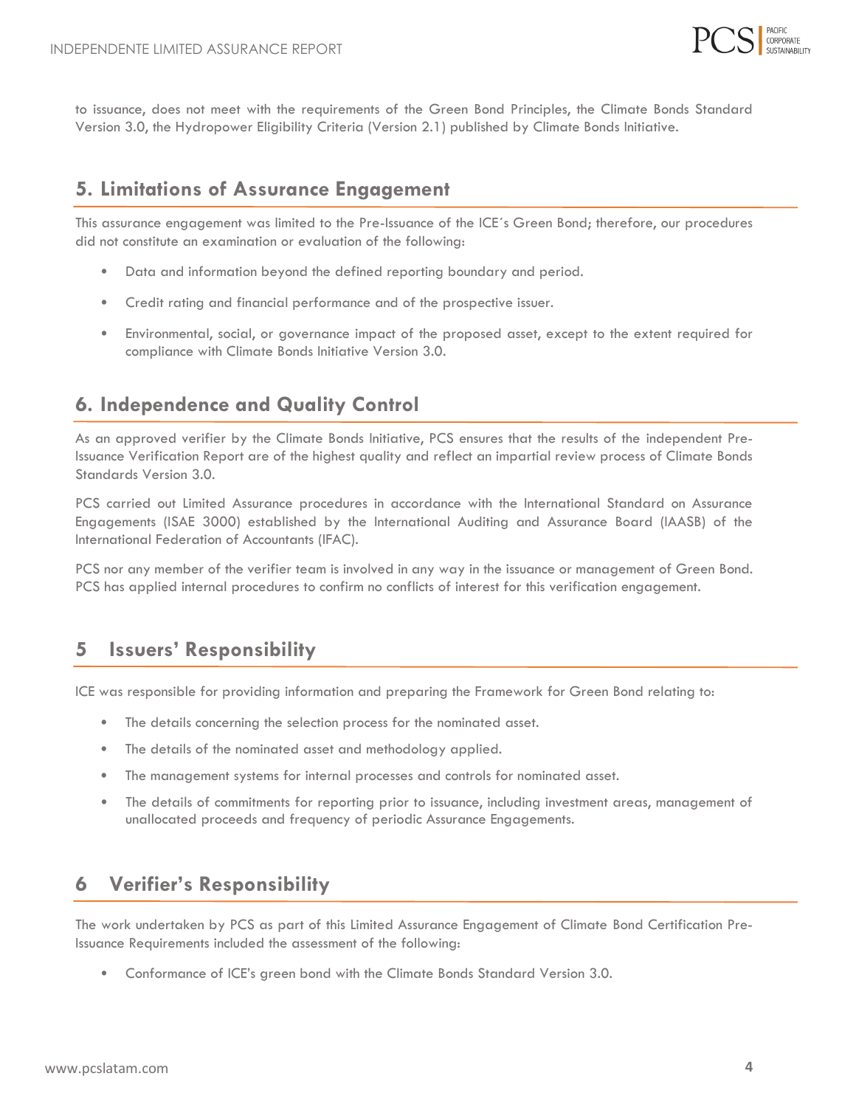

to issuance, does not meet with the requirements of the Green Bond Principles, the Climate Bonds Standard Version 3.0, the Hydropower Eligibility Criteria (Version 2.1) published by Climate Bonds Initiative.

#### <span id="page-2-0"></span>**5. Limitations of Assurance Engagement**

This assurance engagement was limited to the Pre-Issuance of the ICE´s Green Bond; therefore, our procedures did not constitute an examination or evaluation of the following:

- Data and information beyond the defined reporting boundary and period.
- Credit rating and financial performance and of the prospective issuer.
- Environmental, social, or governance impact of the proposed asset, except to the extent required for compliance with Climate Bonds Initiative Version 3.0.

#### **6. Independence and Quality Control**

<span id="page-2-1"></span>As an approved verifier by the Climate Bonds Initiative, PCS ensures that the results of the independent Pre-Issuance Verification Report are of the highest quality and reflect an impartial review process of Climate Bonds Standards Version 3.0.

PCS carried out Limited Assurance procedures in accordance with the International Standard on Assurance Engagements (ISAE 3000) established by the International Auditing and Assurance Board (IAASB) of the International Federation of Accountants (IFAC).

PCS nor any member of the verifier team is involved in any way in the issuance or management of Green Bond. PCS has applied internal procedures to confirm no conflicts of interest for this verification engagement.

#### **5 Issuers' Responsibility**

<span id="page-2-2"></span>ICE was responsible for providing information and preparing the Framework for Green Bond relating to:

- The details concerning the selection process for the nominated asset.
- The details of the nominated asset and methodology applied.
- The management systems for internal processes and controls for nominated asset.
- The details of commitments for reporting prior to issuance, including investment areas, management of unallocated proceeds and frequency of periodic Assurance Engagements.

#### <span id="page-2-3"></span>**6 Verifier's Responsibility**

The work undertaken by PCS as part of this Limited Assurance Engagement of Climate Bond Certification Pre-Issuance Requirements included the assessment of the following:

• Conformance of ICE's green bond with the Climate Bonds Standard Version 3.0.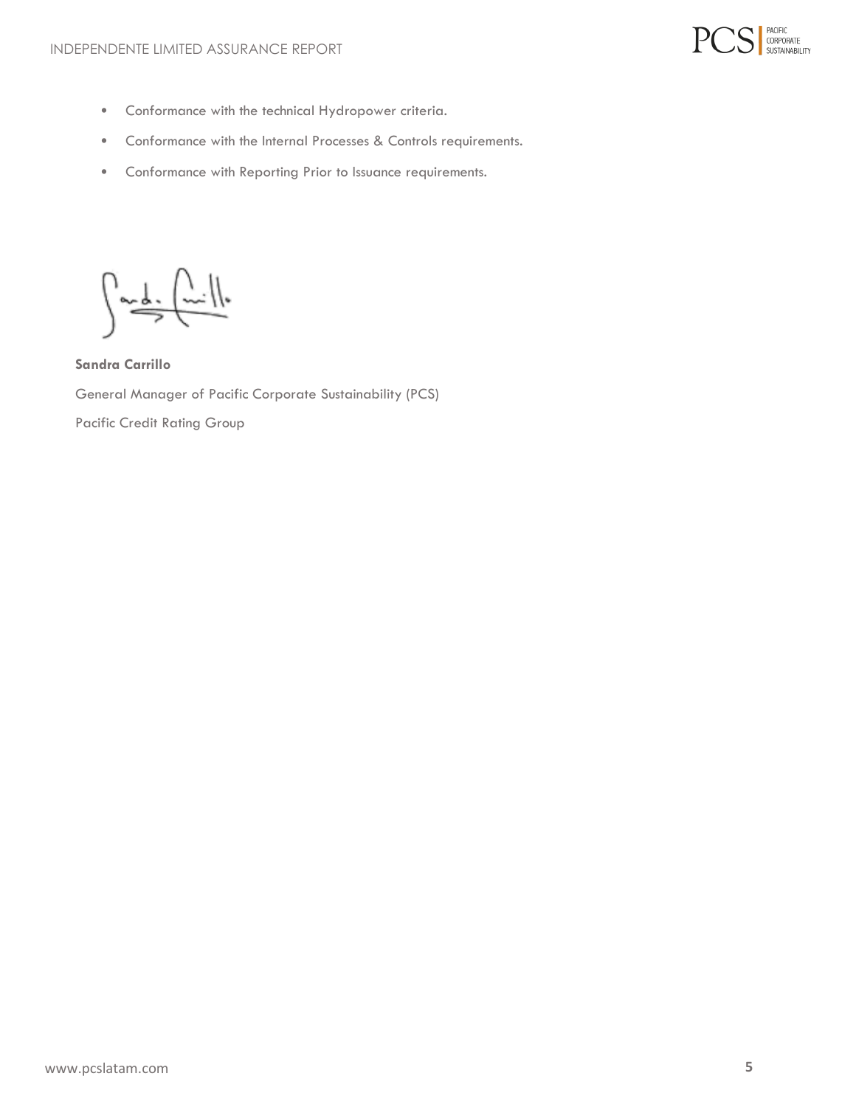

- Conformance with the technical Hydropower criteria.
- Conformance with the Internal Processes & Controls requirements.
- Conformance with Reporting Prior to Issuance requirements.

 $\sqrt{\frac{1}{2\pi}}\sqrt{\frac{1}{2\pi}}$ 

**Sandra Carrillo** General Manager of Pacific Corporate Sustainability (PCS) Pacific Credit Rating Group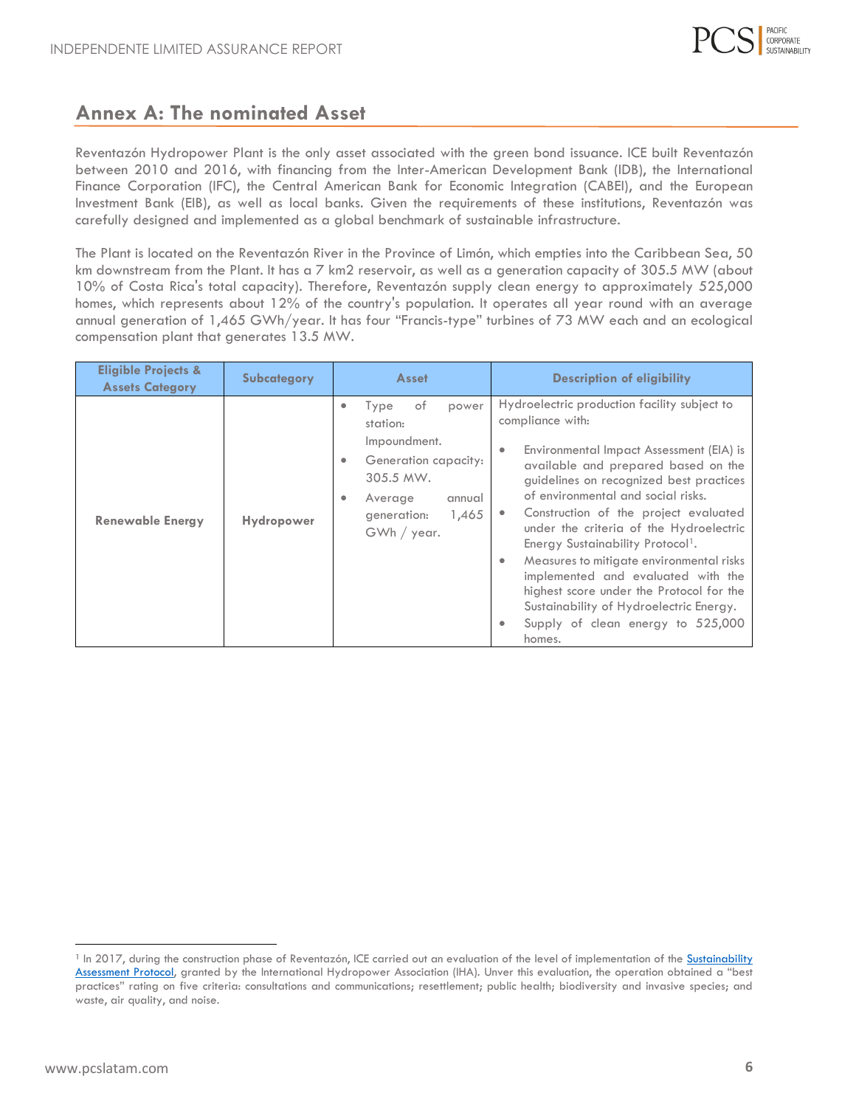

#### <span id="page-4-0"></span>**Annex A: The nominated Asset**

Reventazón Hydropower Plant is the only asset associated with the green bond issuance. ICE built Reventazón between 2010 and 2016, with financing from the Inter-American Development Bank (IDB), the International Finance Corporation (IFC), the Central American Bank for Economic Integration (CABEI), and the European Investment Bank (EIB), as well as local banks. Given the requirements of these institutions, Reventazón was carefully designed and implemented as a global benchmark of sustainable infrastructure.

The Plant is located on the Reventazón River in the Province of Limón, which empties into the Caribbean Sea, 50 km downstream from the Plant. It has a 7 km2 reservoir, as well as a generation capacity of 305.5 MW (about 10% of Costa Rica's total capacity). Therefore, Reventazón supply clean energy to approximately 525,000 homes, which represents about 12% of the country's population. It operates all year round with an average annual generation of 1,465 GWh/year. It has four "Francis-type" turbines of 73 MW each and an ecological compensation plant that generates 13.5 MW.

| <b>Eligible Projects &amp;</b><br><b>Assets Category</b> | Subcategory       | Asset                                                                                                                                                           | <b>Description of eligibility</b>                                                                                                                                                                                                                                                                                                                                                                                                                                                                                                                                                                      |
|----------------------------------------------------------|-------------------|-----------------------------------------------------------------------------------------------------------------------------------------------------------------|--------------------------------------------------------------------------------------------------------------------------------------------------------------------------------------------------------------------------------------------------------------------------------------------------------------------------------------------------------------------------------------------------------------------------------------------------------------------------------------------------------------------------------------------------------------------------------------------------------|
| <b>Renewable Energy</b>                                  | <b>Hydropower</b> | of<br>Type<br>power<br>٠<br>station:<br>Impoundment.<br>Generation capacity:<br>٠<br>305.5 MW.<br>Average<br>annual<br>٠<br>1,465<br>generation:<br>GWh / year. | Hydroelectric production facility subject to<br>compliance with:<br>Environmental Impact Assessment (EIA) is<br>available and prepared based on the<br>guidelines on recognized best practices<br>of environmental and social risks.<br>Construction of the project evaluated<br>under the criteria of the Hydroelectric<br>Energy Sustainability Protocol <sup>1</sup> .<br>Measures to mitigate environmental risks<br>۰<br>implemented and evaluated with the<br>highest score under the Protocol for the<br>Sustainability of Hydroelectric Energy.<br>Supply of clean energy to 525,000<br>homes. |

<span id="page-4-1"></span><sup>&</sup>lt;sup>1</sup> In 2017, during the construction phase of Reventazón, ICE carried out an evaluation of the level of implementation of the **Sustainability** [Assessment Protocol,](https://static1.squarespace.com/static/5c1978d3ee1759dc44fbd8ba/t/5d7117e2bb767d000140a05c/1567692821693/Reventazon+Assessment+Report+Sept+2017.pdf) granted by the International Hydropower Association (IHA). Unver this evaluation, the operation obtained a "best practices" rating on five criteria: consultations and communications; resettlement; public health; biodiversity and invasive species; and waste, air quality, and noise.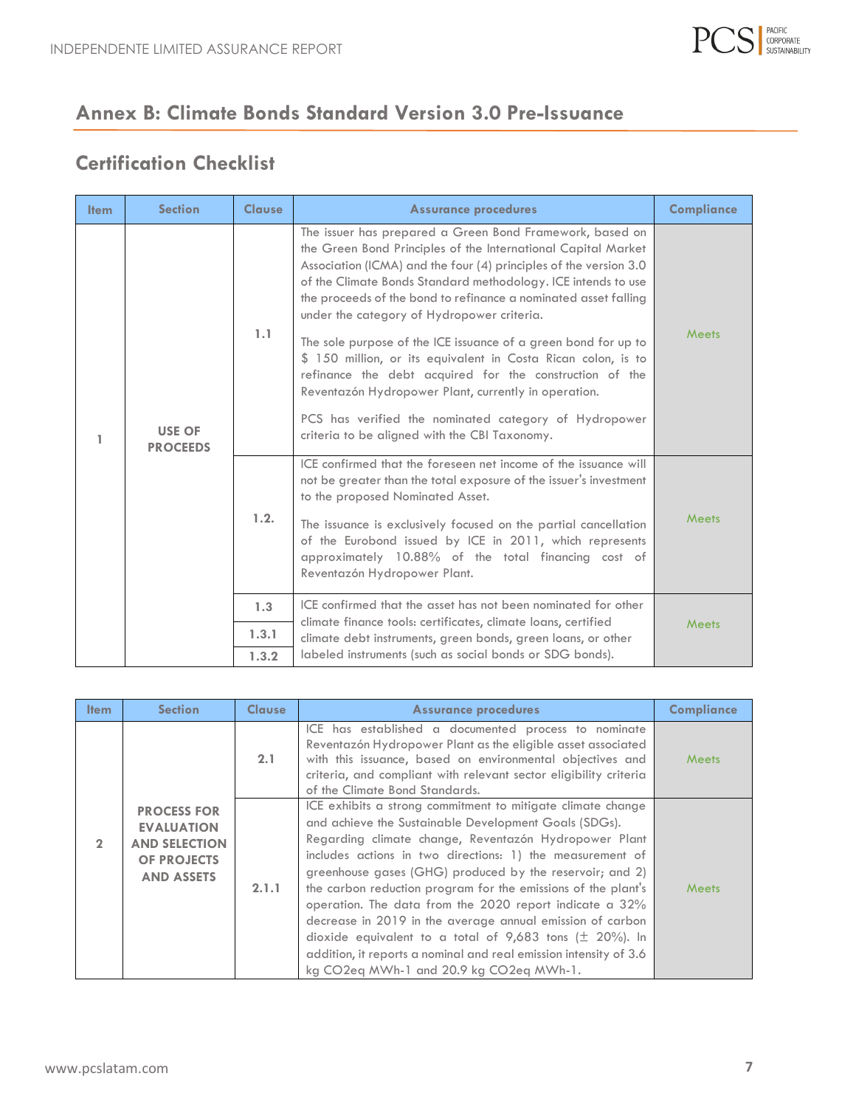

# **Annex B: Climate Bonds Standard Version 3.0 Pre-Issuance**

## **Certification Checklist**

| <b>Item</b> | <b>Section</b>                   | <b>Clause</b> | <b>Assurance procedures</b>                                                                                                                                                                                                                                                                                                                                                                                                                                                                                                                                                                                                                                                                                                                      | <b>Compliance</b> |
|-------------|----------------------------------|---------------|--------------------------------------------------------------------------------------------------------------------------------------------------------------------------------------------------------------------------------------------------------------------------------------------------------------------------------------------------------------------------------------------------------------------------------------------------------------------------------------------------------------------------------------------------------------------------------------------------------------------------------------------------------------------------------------------------------------------------------------------------|-------------------|
| 1           | <b>USE OF</b><br><b>PROCEEDS</b> | 1.1           | The issuer has prepared a Green Bond Framework, based on<br>the Green Bond Principles of the International Capital Market<br>Association (ICMA) and the four (4) principles of the version 3.0<br>of the Climate Bonds Standard methodology. ICE intends to use<br>the proceeds of the bond to refinance a nominated asset falling<br>under the category of Hydropower criteria.<br>The sole purpose of the ICE issuance of a green bond for up to<br>\$ 150 million, or its equivalent in Costa Rican colon, is to<br>refinance the debt acquired for the construction of the<br>Reventazón Hydropower Plant, currently in operation.<br>PCS has verified the nominated category of Hydropower<br>criteria to be aligned with the CBI Taxonomy. | Meets             |
|             |                                  | 1.2.          | ICE confirmed that the foreseen net income of the issuance will<br>not be greater than the total exposure of the issuer's investment<br>to the proposed Nominated Asset.<br>The issuance is exclusively focused on the partial cancellation<br>of the Eurobond issued by ICE in 2011, which represents<br>approximately 10.88% of the total financing cost of<br>Reventazón Hydropower Plant.                                                                                                                                                                                                                                                                                                                                                    | Meets             |
|             |                                  | 1.3           | ICE confirmed that the asset has not been nominated for other                                                                                                                                                                                                                                                                                                                                                                                                                                                                                                                                                                                                                                                                                    |                   |
|             |                                  | 1.3.1         | climate finance tools: certificates, climate loans, certified<br>climate debt instruments, green bonds, green loans, or other                                                                                                                                                                                                                                                                                                                                                                                                                                                                                                                                                                                                                    | <b>Meets</b>      |
|             |                                  | 1.3.2         | labeled instruments (such as social bonds or SDG bonds).                                                                                                                                                                                                                                                                                                                                                                                                                                                                                                                                                                                                                                                                                         |                   |

| <b>Item</b>   | <b>Section</b>                                                                                      | <b>Clause</b> | <b>Assurance procedures</b>                                                                                                                                                                                                                                                                                                                                                                                                                                                                                                                                                                                                                                                     | <b>Compliance</b> |
|---------------|-----------------------------------------------------------------------------------------------------|---------------|---------------------------------------------------------------------------------------------------------------------------------------------------------------------------------------------------------------------------------------------------------------------------------------------------------------------------------------------------------------------------------------------------------------------------------------------------------------------------------------------------------------------------------------------------------------------------------------------------------------------------------------------------------------------------------|-------------------|
|               |                                                                                                     | 2.1           | ICE has established a documented process to nominate<br>Reventazón Hydropower Plant as the eligible asset associated<br>with this issuance, based on environmental objectives and<br>criteria, and compliant with relevant sector eligibility criteria<br>of the Climate Bond Standards.                                                                                                                                                                                                                                                                                                                                                                                        | <b>Meets</b>      |
| $\mathcal{D}$ | <b>PROCESS FOR</b><br><b>EVALUATION</b><br><b>AND SELECTION</b><br>OF PROJECTS<br><b>AND ASSETS</b> | 2.1.1         | ICE exhibits a strong commitment to mitigate climate change<br>and achieve the Sustainable Development Goals (SDGs).<br>Regarding climate change, Reventazón Hydropower Plant<br>includes actions in two directions: 1) the measurement of<br>greenhouse gases (GHG) produced by the reservoir; and 2)<br>the carbon reduction program for the emissions of the plant's<br>operation. The data from the 2020 report indicate a 32%<br>decrease in 2019 in the average annual emission of carbon<br>dioxide equivalent to a total of 9,683 tons ( $\pm$ 20%). In<br>addition, it reports a nominal and real emission intensity of 3.6<br>kg CO2eq MWh-1 and 20.9 kg CO2eq MWh-1. | <b>Meets</b>      |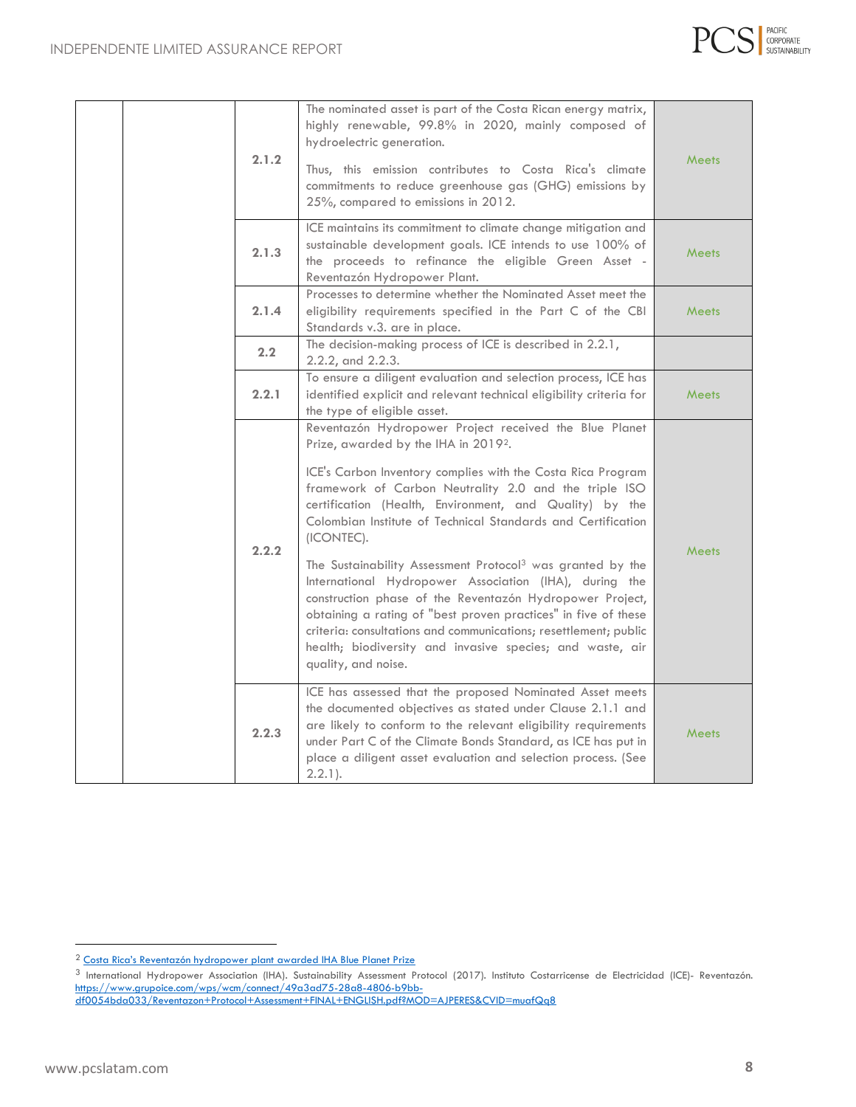

|  | 2.1.2         | The nominated asset is part of the Costa Rican energy matrix,<br>highly renewable, 99.8% in 2020, mainly composed of<br>hydroelectric generation.<br>Thus, this emission contributes to Costa Rica's climate<br>commitments to reduce greenhouse gas (GHG) emissions by<br>25%, compared to emissions in 2012.                                                                                                                                                                                                                                                                                                                                                                                                                                                                           | <b>Meets</b> |
|--|---------------|------------------------------------------------------------------------------------------------------------------------------------------------------------------------------------------------------------------------------------------------------------------------------------------------------------------------------------------------------------------------------------------------------------------------------------------------------------------------------------------------------------------------------------------------------------------------------------------------------------------------------------------------------------------------------------------------------------------------------------------------------------------------------------------|--------------|
|  | 2.1.3         | ICE maintains its commitment to climate change mitigation and<br>sustainable development goals. ICE intends to use 100% of<br>the proceeds to refinance the eligible Green Asset -<br>Reventazón Hydropower Plant.                                                                                                                                                                                                                                                                                                                                                                                                                                                                                                                                                                       | <b>Meets</b> |
|  | 2.1.4         | Processes to determine whether the Nominated Asset meet the<br>eligibility requirements specified in the Part C of the CBI<br>Standards v.3. are in place.                                                                                                                                                                                                                                                                                                                                                                                                                                                                                                                                                                                                                               | <b>Meets</b> |
|  | $2.2^{\circ}$ | The decision-making process of ICE is described in 2.2.1,<br>2.2.2, and 2.2.3.                                                                                                                                                                                                                                                                                                                                                                                                                                                                                                                                                                                                                                                                                                           |              |
|  | 2.2.1         | To ensure a diligent evaluation and selection process, ICE has<br>identified explicit and relevant technical eligibility criteria for<br>the type of eligible asset.                                                                                                                                                                                                                                                                                                                                                                                                                                                                                                                                                                                                                     | <b>Meets</b> |
|  | 2.2.2         | Reventazón Hydropower Project received the Blue Planet<br>Prize, awarded by the IHA in 20192.<br>ICE's Carbon Inventory complies with the Costa Rica Program<br>framework of Carbon Neutrality 2.0 and the triple ISO<br>certification (Health, Environment, and Quality) by the<br>Colombian Institute of Technical Standards and Certification<br>(ICONTEC).<br>The Sustainability Assessment Protocol <sup>3</sup> was granted by the<br>International Hydropower Association (IHA), during the<br>construction phase of the Reventazón Hydropower Project,<br>obtaining a rating of "best proven practices" in five of these<br>criteria: consultations and communications; resettlement; public<br>health; biodiversity and invasive species; and waste, air<br>quality, and noise. | <b>Meets</b> |
|  | 2.2.3         | ICE has assessed that the proposed Nominated Asset meets<br>the documented objectives as stated under Clause 2.1.1 and<br>are likely to conform to the relevant eligibility requirements<br>under Part C of the Climate Bonds Standard, as ICE has put in<br>place a diligent asset evaluation and selection process. (See<br>$2.2.1$ ).                                                                                                                                                                                                                                                                                                                                                                                                                                                 | <b>Meets</b> |

<sup>2</sup> [Costa Rica's Reventazón hydropower plant awarded IHA Blue Planet Prize](https://www.hydropower.org/news/costa-rica-e2-80-99s-reventaz-c3-b3n-hydropower-plant-awarded-iha-blue-planet-prize-c2-a0)

<sup>3</sup> International Hydropower Association (IHA). Sustainability Assessment Protocol (2017). Instituto Costarricense de Electricidad (ICE)- Reventazón. [https://www.grupoice.com/wps/wcm/connect/49a3ad75-28a8-4806-b9bb-](https://www.grupoice.com/wps/wcm/connect/49a3ad75-28a8-4806-b9bb-df0054bda033/Reventazon+Protocol+Assessment+FINAL+ENGLISH.pdf?MOD=AJPERES&CVID=muafQq8)

[df0054bda033/Reventazon+Protocol+Assessment+FINAL+ENGLISH.pdf?MOD=AJPERES&CVID=muafQq8](https://www.grupoice.com/wps/wcm/connect/49a3ad75-28a8-4806-b9bb-df0054bda033/Reventazon+Protocol+Assessment+FINAL+ENGLISH.pdf?MOD=AJPERES&CVID=muafQq8)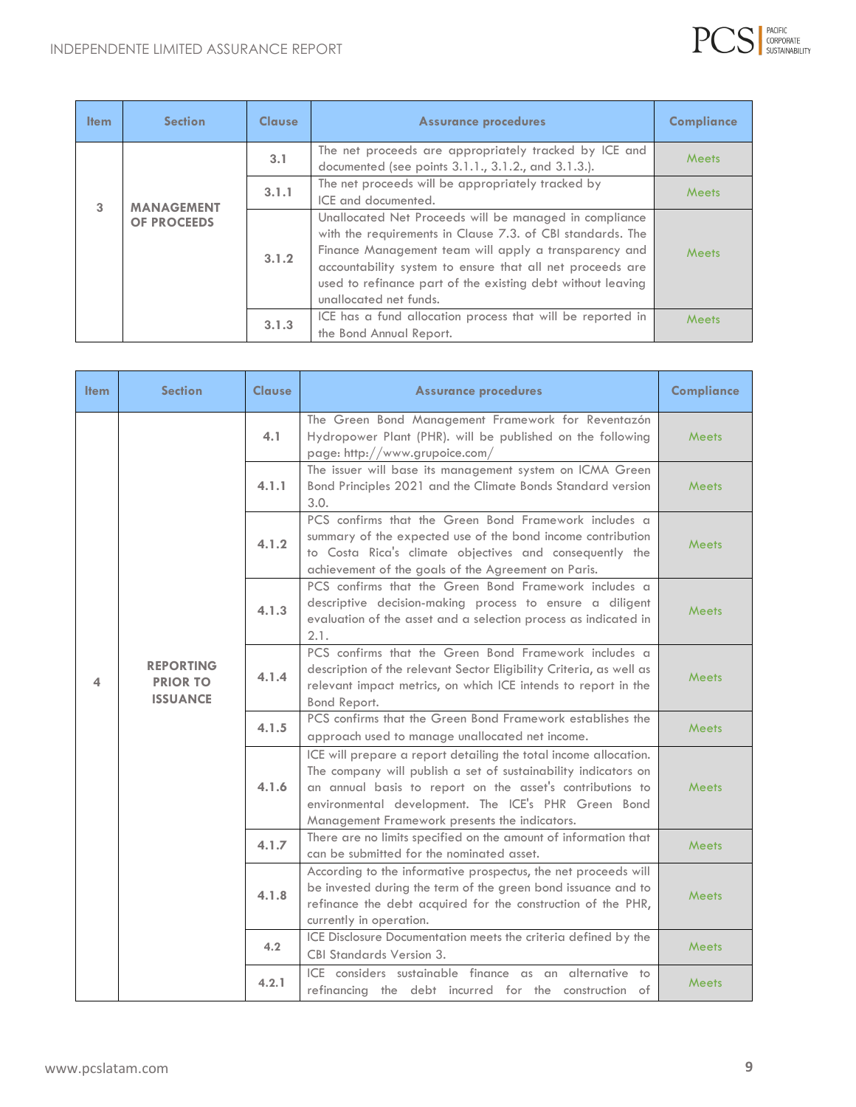

| <b>Item</b> | <b>Section</b>                          | <b>Clause</b> | <b>Assurance procedures</b>                                                                                                                                                                                                                                                                                                         | Compliance   |
|-------------|-----------------------------------------|---------------|-------------------------------------------------------------------------------------------------------------------------------------------------------------------------------------------------------------------------------------------------------------------------------------------------------------------------------------|--------------|
|             |                                         | 3.1           | The net proceeds are appropriately tracked by ICE and<br>documented (see points 3.1.1., 3.1.2., and 3.1.3.).                                                                                                                                                                                                                        | Meets        |
| 3           |                                         | 3.1.1         | The net proceeds will be appropriately tracked by<br>ICE and documented.                                                                                                                                                                                                                                                            | Meets        |
|             | <b>MANAGEMENT</b><br><b>OF PROCEEDS</b> |               | Unallocated Net Proceeds will be managed in compliance<br>with the requirements in Clause 7.3. of CBI standards. The<br>Finance Management team will apply a transparency and<br>accountability system to ensure that all net proceeds are<br>used to refinance part of the existing debt without leaving<br>unallocated net funds. | Meets        |
|             |                                         | 3.1.3         | ICE has a fund allocation process that will be reported in<br>the Bond Annual Report.                                                                                                                                                                                                                                               | <b>Meets</b> |

| <b>Item</b> | <b>Section</b>                                         | <b>Clause</b> | <b>Assurance procedures</b>                                                                                                                                                                                                                                                                             | <b>Compliance</b> |
|-------------|--------------------------------------------------------|---------------|---------------------------------------------------------------------------------------------------------------------------------------------------------------------------------------------------------------------------------------------------------------------------------------------------------|-------------------|
| 4           | <b>REPORTING</b><br><b>PRIOR TO</b><br><b>ISSUANCE</b> | 4.1           | The Green Bond Management Framework for Reventazón<br>Hydropower Plant (PHR). will be published on the following<br>page: http://www.grupoice.com/                                                                                                                                                      | <b>Meets</b>      |
|             |                                                        | 4.1.1         | The issuer will base its management system on ICMA Green<br>Bond Principles 2021 and the Climate Bonds Standard version<br>3.0.                                                                                                                                                                         | <b>Meets</b>      |
|             |                                                        | 4.1.2         | PCS confirms that the Green Bond Framework includes a<br>summary of the expected use of the bond income contribution<br>to Costa Rica's climate objectives and consequently the<br>achievement of the goals of the Agreement on Paris.                                                                  | Meets             |
|             |                                                        | 4.1.3         | PCS confirms that the Green Bond Framework includes a<br>descriptive decision-making process to ensure a diligent<br>evaluation of the asset and a selection process as indicated in<br>2.1.                                                                                                            | Meets             |
|             |                                                        | 4.1.4         | PCS confirms that the Green Bond Framework includes a<br>description of the relevant Sector Eligibility Criteria, as well as<br>relevant impact metrics, on which ICE intends to report in the<br>Bond Report.                                                                                          | Meets             |
|             |                                                        | 4.1.5         | PCS confirms that the Green Bond Framework establishes the<br>approach used to manage unallocated net income.                                                                                                                                                                                           | <b>Meets</b>      |
|             |                                                        | 4.1.6         | ICE will prepare a report detailing the total income allocation.<br>The company will publish a set of sustainability indicators on<br>an annual basis to report on the asset's contributions to<br>environmental development. The ICE's PHR Green Bond<br>Management Framework presents the indicators. | <b>Meets</b>      |
|             |                                                        | 4.1.7         | There are no limits specified on the amount of information that<br>can be submitted for the nominated asset.                                                                                                                                                                                            | <b>Meets</b>      |
|             |                                                        | 4.1.8         | According to the informative prospectus, the net proceeds will<br>be invested during the term of the green bond issuance and to<br>refinance the debt acquired for the construction of the PHR,<br>currently in operation.                                                                              | Meets             |
|             |                                                        | 4.2           | ICE Disclosure Documentation meets the criteria defined by the<br><b>CBI Standards Version 3.</b>                                                                                                                                                                                                       | <b>Meets</b>      |
|             |                                                        | 4.2.1         | ICE considers sustainable finance as an alternative to<br>refinancing the debt incurred for the construction of                                                                                                                                                                                         | Meets             |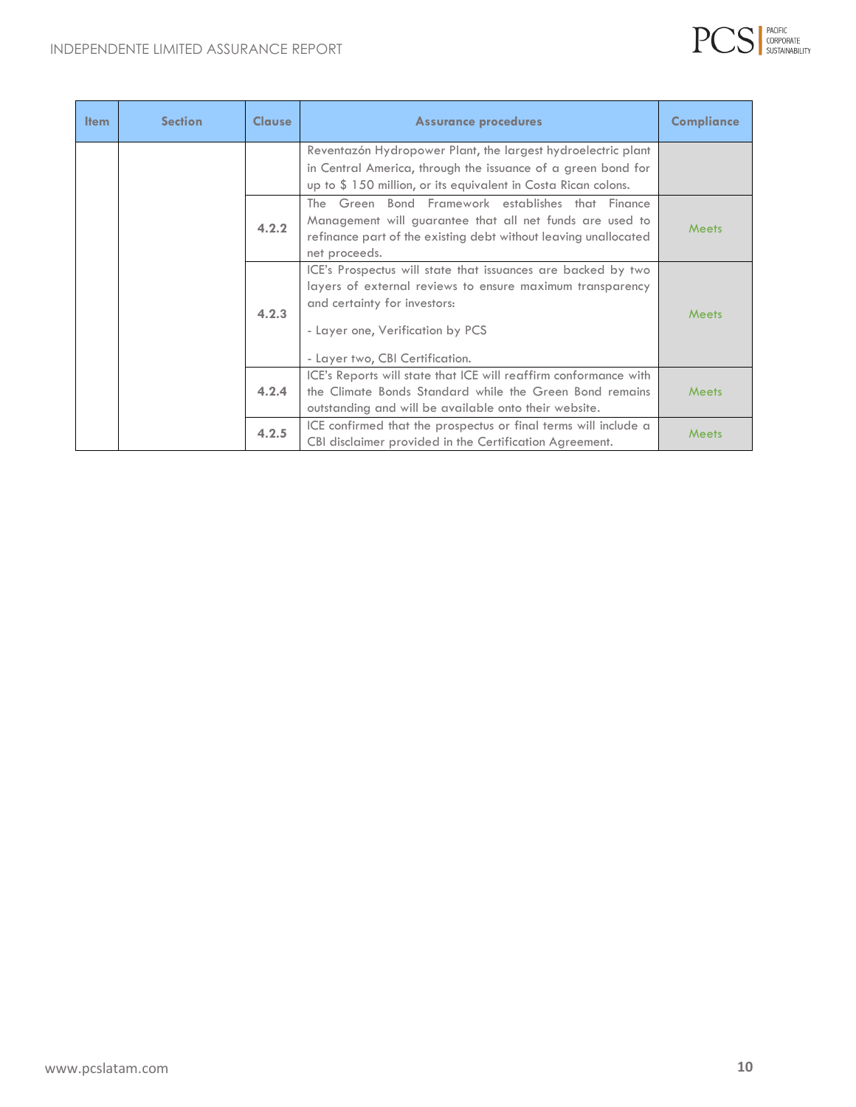

| <b>Item</b> | <b>Section</b> | <b>Clause</b> | <b>Assurance procedures</b>                                                                                                                                                                                                      | <b>Compliance</b> |
|-------------|----------------|---------------|----------------------------------------------------------------------------------------------------------------------------------------------------------------------------------------------------------------------------------|-------------------|
|             |                |               | Reventazón Hydropower Plant, the largest hydroelectric plant                                                                                                                                                                     |                   |
|             |                |               | in Central America, through the issuance of a green bond for                                                                                                                                                                     |                   |
|             |                |               | up to \$150 million, or its equivalent in Costa Rican colons.                                                                                                                                                                    |                   |
|             |                | 4.2.2         | The Green Bond Framework establishes that Finance<br>Management will guarantee that all net funds are used to<br>refinance part of the existing debt without leaving unallocated<br>net proceeds.                                | <b>Meets</b>      |
|             |                | 4.2.3         | ICE's Prospectus will state that issuances are backed by two<br>layers of external reviews to ensure maximum transparency<br>and certainty for investors:<br>- Layer one, Verification by PCS<br>- Layer two, CBI Certification. | Meets             |
|             |                | 4.2.4         | ICE's Reports will state that ICE will reaffirm conformance with<br>the Climate Bonds Standard while the Green Bond remains<br>outstanding and will be available onto their website.                                             | Meets             |
|             |                | 4.2.5         | ICE confirmed that the prospectus or final terms will include a<br>CBI disclaimer provided in the Certification Agreement.                                                                                                       | <b>Meets</b>      |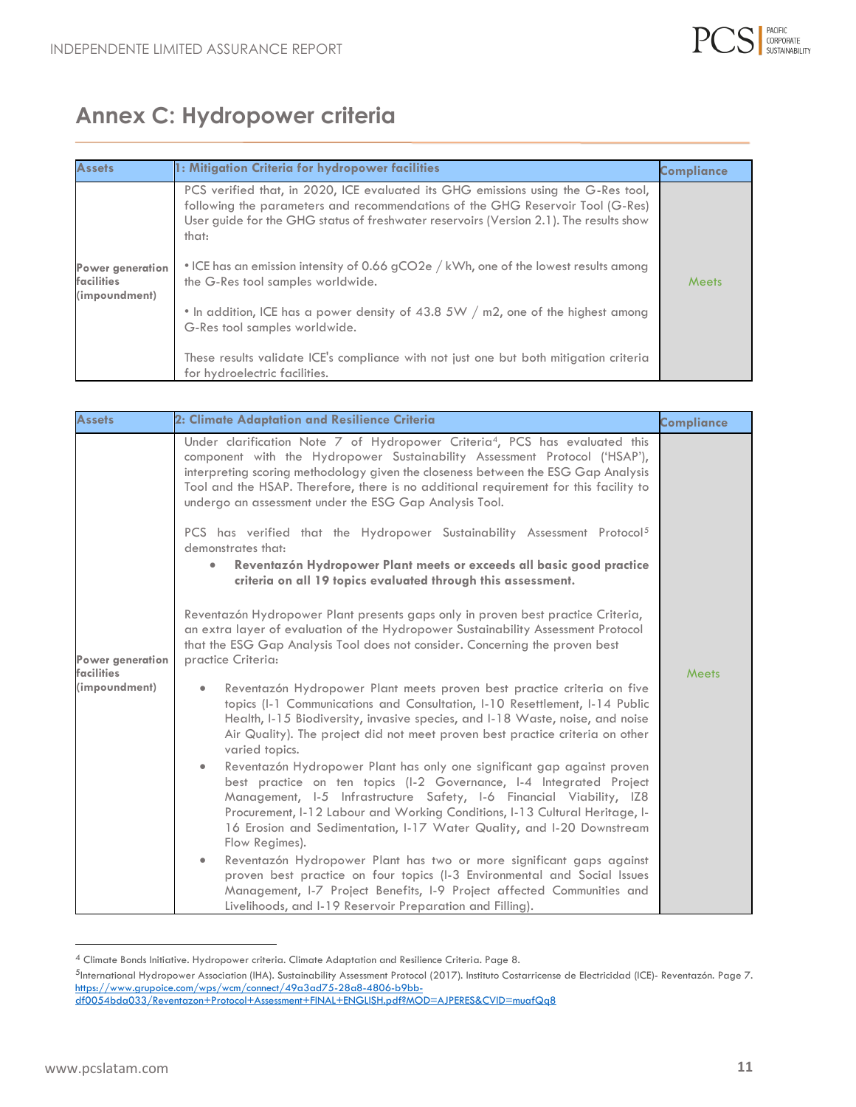

# **Annex C: Hydropower criteria**

| <b>Assets</b>                                   | 1: Mitigation Criteria for hydropower facilities                                                                                                                                                                                                                       | <b>Compliance</b> |
|-------------------------------------------------|------------------------------------------------------------------------------------------------------------------------------------------------------------------------------------------------------------------------------------------------------------------------|-------------------|
|                                                 | PCS verified that, in 2020, ICE evaluated its GHG emissions using the G-Res tool,<br>following the parameters and recommendations of the GHG Reservoir Tool (G-Res)<br>User guide for the GHG status of freshwater reservoirs (Version 2.1). The results show<br>that: |                   |
| Power generation<br>facilities<br>(impoundment) | • ICE has an emission intensity of 0.66 gCO2e / kWh, one of the lowest results among<br>the G-Res tool samples worldwide.                                                                                                                                              | Meets             |
|                                                 | . In addition, ICE has a power density of 43.8 5W / m2, one of the highest among<br>G-Res tool samples worldwide.                                                                                                                                                      |                   |
|                                                 | These results validate ICE's compliance with not just one but both mitigation criteria<br>for hydroelectric facilities.                                                                                                                                                |                   |

| <b>Assets</b>                  | 2: Climate Adaptation and Resilience Criteria                                                                                                                                                                                                                                                                                                                                                                 | <b>Compliance</b> |
|--------------------------------|---------------------------------------------------------------------------------------------------------------------------------------------------------------------------------------------------------------------------------------------------------------------------------------------------------------------------------------------------------------------------------------------------------------|-------------------|
|                                | Under clarification Note 7 of Hydropower Criteria <sup>4</sup> , PCS has evaluated this<br>component with the Hydropower Sustainability Assessment Protocol ('HSAP'),<br>interpreting scoring methodology given the closeness between the ESG Gap Analysis<br>Tool and the HSAP. Therefore, there is no additional requirement for this facility to<br>undergo an assessment under the ESG Gap Analysis Tool. |                   |
|                                | PCS has verified that the Hydropower Sustainability Assessment Protocol <sup>5</sup><br>demonstrates that:<br>Reventazón Hydropower Plant meets or exceeds all basic good practice<br>criteria on all 19 topics evaluated through this assessment.                                                                                                                                                            |                   |
| Power generation<br>facilities | Reventazón Hydropower Plant presents gaps only in proven best practice Criteria,<br>an extra layer of evaluation of the Hydropower Sustainability Assessment Protocol<br>that the ESG Gap Analysis Tool does not consider. Concerning the proven best<br>practice Criteria:                                                                                                                                   | <b>Meets</b>      |
| (impoundment)                  | Reventazón Hydropower Plant meets proven best practice criteria on five<br>$\bullet$<br>topics (I-1 Communications and Consultation, I-10 Resettlement, I-14 Public<br>Health, I-15 Biodiversity, invasive species, and I-18 Waste, noise, and noise<br>Air Quality). The project did not meet proven best practice criteria on other<br>varied topics.                                                       |                   |
|                                | Reventazón Hydropower Plant has only one significant gap against proven<br>$\bullet$<br>best practice on ten topics (I-2 Governance, I-4 Integrated Project<br>Management, I-5 Infrastructure Safety, I-6 Financial Viability, IZ8<br>Procurement, I-12 Labour and Working Conditions, I-13 Cultural Heritage, I-<br>16 Erosion and Sedimentation, I-17 Water Quality, and I-20 Downstream<br>Flow Regimes).  |                   |
|                                | Reventazón Hydropower Plant has two or more significant gaps against<br>proven best practice on four topics (I-3 Environmental and Social Issues<br>Management, I-7 Project Benefits, I-9 Project affected Communities and<br>Livelihoods, and I-19 Reservoir Preparation and Filling).                                                                                                                       |                   |

<sup>4</sup> Climate Bonds Initiative. Hydropower criteria. Climate Adaptation and Resilience Criteria. Page 8.

<sup>&</sup>lt;sup>5</sup>International Hydropower Association (IHA). Sustainability Assessment Protocol (2017). Instituto Costarricense de Electricidad (ICE)- Reventazón. Page 7. [https://www.grupoice.com/wps/wcm/connect/49a3ad75-28a8-4806-b9bb-](https://www.grupoice.com/wps/wcm/connect/49a3ad75-28a8-4806-b9bb-df0054bda033/Reventazon+Protocol+Assessment+FINAL+ENGLISH.pdf?MOD=AJPERES&CVID=muafQq8)

[df0054bda033/Reventazon+Protocol+Assessment+FINAL+ENGLISH.pdf?MOD=AJPERES&CVID=muafQq8](https://www.grupoice.com/wps/wcm/connect/49a3ad75-28a8-4806-b9bb-df0054bda033/Reventazon+Protocol+Assessment+FINAL+ENGLISH.pdf?MOD=AJPERES&CVID=muafQq8)